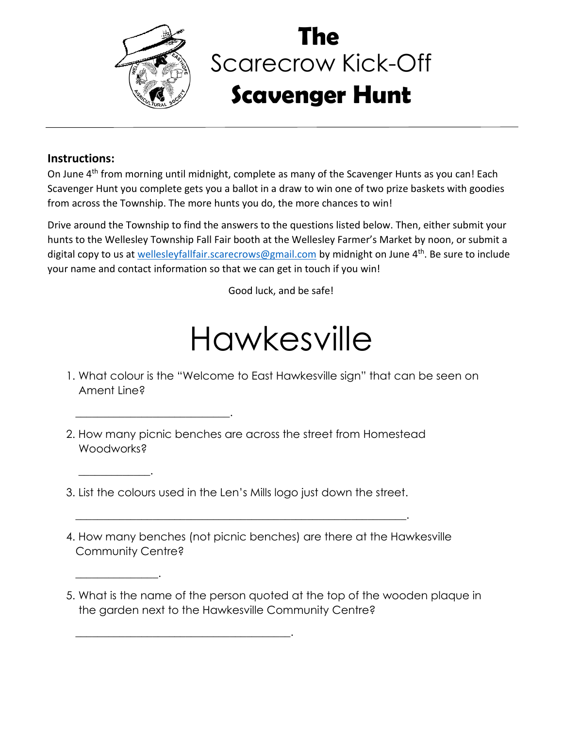

 $\overline{\phantom{a}}$  , and the set of the set of the set of the set of the set of the set of the set of the set of the set of the set of the set of the set of the set of the set of the set of the set of the set of the set of the s

 $\overline{\phantom{a}}$  , and the set of the set of the set of the set of the set of the set of the set of the set of the set of the set of the set of the set of the set of the set of the set of the set of the set of the set of the s

 $\overline{\phantom{a}}$  . The contract of  $\overline{\phantom{a}}$ 

 $\overline{\phantom{a}}$  . The contract of the contract of the contract of the contract of the contract of the contract of the contract of the contract of the contract of the contract of the contract of the contract of the contract of

## Scarecrow Kick-Off **Scavenger Hunt The**

## **Instructions:**

On June 4<sup>th</sup> from morning until midnight, complete as many of the Scavenger Hunts as you can! Each Scavenger Hunt you complete gets you a ballot in a draw to win one of two prize baskets with goodies from across the Township. The more hunts you do, the more chances to win!

Drive around the Township to find the answers to the questions listed below. Then, either submit your hunts to the Wellesley Township Fall Fair booth at the Wellesley Farmer's Market by noon, or submit a digital copy to us at [wellesleyfallfair.scarecrows@gmail.com](mailto:wellesleyfallfair.scarecrows@gmail.com) by midnight on June 4<sup>th</sup>. Be sure to include your name and contact information so that we can get in touch if you win!

Good luck, and be safe!

## Hawkesville

- 1. What colour is the "Welcome to East Hawkesville sign" that can be seen on Ament Line?
- 2. How many picnic benches are across the street from Homestead Woodworks?
- 3. List the colours used in the Len's Mills logo just down the street.

 $\frac{1}{2}$  ,  $\frac{1}{2}$  ,  $\frac{1}{2}$  ,  $\frac{1}{2}$  ,  $\frac{1}{2}$  ,  $\frac{1}{2}$  ,  $\frac{1}{2}$  ,  $\frac{1}{2}$  ,  $\frac{1}{2}$  ,  $\frac{1}{2}$  ,  $\frac{1}{2}$  ,  $\frac{1}{2}$  ,  $\frac{1}{2}$  ,  $\frac{1}{2}$  ,  $\frac{1}{2}$  ,  $\frac{1}{2}$  ,  $\frac{1}{2}$  ,  $\frac{1}{2}$  ,  $\frac{1$ 

- 4. How many benches (not picnic benches) are there at the Hawkesville Community Centre?
- 5. What is the name of the person quoted at the top of the wooden plaque in the garden next to the Hawkesville Community Centre?